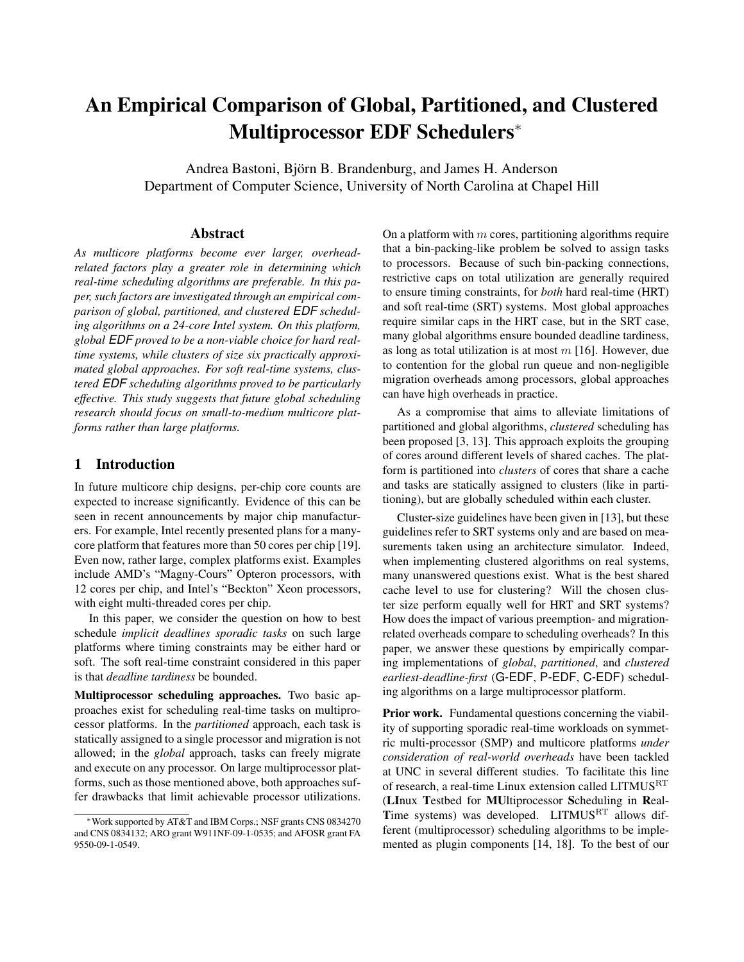# An Empirical Comparison of Global, Partitioned, and Clustered Multiprocessor EDF Schedulers<sup>∗</sup>

Andrea Bastoni, Björn B. Brandenburg, and James H. Anderson Department of Computer Science, University of North Carolina at Chapel Hill

## Abstract

*As multicore platforms become ever larger, overheadrelated factors play a greater role in determining which real-time scheduling algorithms are preferable. In this paper, such factors are investigated through an empirical comparison of global, partitioned, and clustered EDF scheduling algorithms on a 24-core Intel system. On this platform, global EDF proved to be a non-viable choice for hard realtime systems, while clusters of size six practically approximated global approaches. For soft real-time systems, clustered EDF scheduling algorithms proved to be particularly effective. This study suggests that future global scheduling research should focus on small-to-medium multicore platforms rather than large platforms.*

## 1 Introduction

In future multicore chip designs, per-chip core counts are expected to increase significantly. Evidence of this can be seen in recent announcements by major chip manufacturers. For example, Intel recently presented plans for a manycore platform that features more than 50 cores per chip [19]. Even now, rather large, complex platforms exist. Examples include AMD's "Magny-Cours" Opteron processors, with 12 cores per chip, and Intel's "Beckton" Xeon processors, with eight multi-threaded cores per chip.

In this paper, we consider the question on how to best schedule *implicit deadlines sporadic tasks* on such large platforms where timing constraints may be either hard or soft. The soft real-time constraint considered in this paper is that *deadline tardiness* be bounded.

Multiprocessor scheduling approaches. Two basic approaches exist for scheduling real-time tasks on multiprocessor platforms. In the *partitioned* approach, each task is statically assigned to a single processor and migration is not allowed; in the *global* approach, tasks can freely migrate and execute on any processor. On large multiprocessor platforms, such as those mentioned above, both approaches suffer drawbacks that limit achievable processor utilizations. On a platform with  $m$  cores, partitioning algorithms require that a bin-packing-like problem be solved to assign tasks to processors. Because of such bin-packing connections, restrictive caps on total utilization are generally required to ensure timing constraints, for *both* hard real-time (HRT) and soft real-time (SRT) systems. Most global approaches require similar caps in the HRT case, but in the SRT case, many global algorithms ensure bounded deadline tardiness, as long as total utilization is at most  $m$  [16]. However, due to contention for the global run queue and non-negligible migration overheads among processors, global approaches can have high overheads in practice.

As a compromise that aims to alleviate limitations of partitioned and global algorithms, *clustered* scheduling has been proposed [3, 13]. This approach exploits the grouping of cores around different levels of shared caches. The platform is partitioned into *clusters* of cores that share a cache and tasks are statically assigned to clusters (like in partitioning), but are globally scheduled within each cluster.

Cluster-size guidelines have been given in [13], but these guidelines refer to SRT systems only and are based on measurements taken using an architecture simulator. Indeed, when implementing clustered algorithms on real systems, many unanswered questions exist. What is the best shared cache level to use for clustering? Will the chosen cluster size perform equally well for HRT and SRT systems? How does the impact of various preemption- and migrationrelated overheads compare to scheduling overheads? In this paper, we answer these questions by empirically comparing implementations of *global*, *partitioned*, and *clustered earliest-deadline-first* (G-EDF, P-EDF, C-EDF) scheduling algorithms on a large multiprocessor platform.

Prior work. Fundamental questions concerning the viability of supporting sporadic real-time workloads on symmetric multi-processor (SMP) and multicore platforms *under consideration of real-world overheads* have been tackled at UNC in several different studies. To facilitate this line of research, a real-time Linux extension called LITMUS<sup>RT</sup> (LInux Testbed for MUltiprocessor Scheduling in Real-Time systems) was developed. LITMUSRT allows different (multiprocessor) scheduling algorithms to be implemented as plugin components [14, 18]. To the best of our

<sup>∗</sup>Work supported by AT&T and IBM Corps.; NSF grants CNS 0834270 and CNS 0834132; ARO grant W911NF-09-1-0535; and AFOSR grant FA 9550-09-1-0549.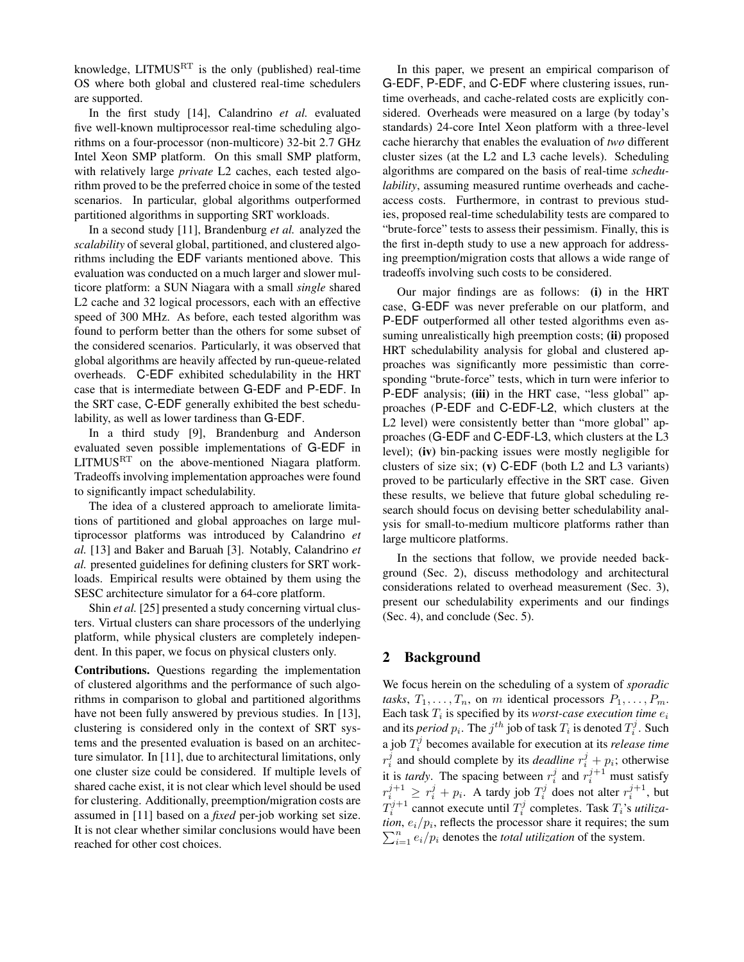knowledge,  $LITMUS<sup>RT</sup>$  is the only (published) real-time OS where both global and clustered real-time schedulers are supported.

In the first study [14], Calandrino *et al.* evaluated five well-known multiprocessor real-time scheduling algorithms on a four-processor (non-multicore) 32-bit 2.7 GHz Intel Xeon SMP platform. On this small SMP platform, with relatively large *private* L2 caches, each tested algorithm proved to be the preferred choice in some of the tested scenarios. In particular, global algorithms outperformed partitioned algorithms in supporting SRT workloads.

In a second study [11], Brandenburg *et al.* analyzed the *scalability* of several global, partitioned, and clustered algorithms including the EDF variants mentioned above. This evaluation was conducted on a much larger and slower multicore platform: a SUN Niagara with a small *single* shared L2 cache and 32 logical processors, each with an effective speed of 300 MHz. As before, each tested algorithm was found to perform better than the others for some subset of the considered scenarios. Particularly, it was observed that global algorithms are heavily affected by run-queue-related overheads. C-EDF exhibited schedulability in the HRT case that is intermediate between G-EDF and P-EDF. In the SRT case, C-EDF generally exhibited the best schedulability, as well as lower tardiness than G-EDF.

In a third study [9], Brandenburg and Anderson evaluated seven possible implementations of G-EDF in  $LITMUS<sup>RT</sup>$  on the above-mentioned Niagara platform. Tradeoffs involving implementation approaches were found to significantly impact schedulability.

The idea of a clustered approach to ameliorate limitations of partitioned and global approaches on large multiprocessor platforms was introduced by Calandrino *et al.* [13] and Baker and Baruah [3]. Notably, Calandrino *et al.* presented guidelines for defining clusters for SRT workloads. Empirical results were obtained by them using the SESC architecture simulator for a 64-core platform.

Shin *et al.* [25] presented a study concerning virtual clusters. Virtual clusters can share processors of the underlying platform, while physical clusters are completely independent. In this paper, we focus on physical clusters only.

Contributions. Questions regarding the implementation of clustered algorithms and the performance of such algorithms in comparison to global and partitioned algorithms have not been fully answered by previous studies. In [13], clustering is considered only in the context of SRT systems and the presented evaluation is based on an architecture simulator. In [11], due to architectural limitations, only one cluster size could be considered. If multiple levels of shared cache exist, it is not clear which level should be used for clustering. Additionally, preemption/migration costs are assumed in [11] based on a *fixed* per-job working set size. It is not clear whether similar conclusions would have been reached for other cost choices.

In this paper, we present an empirical comparison of G-EDF, P-EDF, and C-EDF where clustering issues, runtime overheads, and cache-related costs are explicitly considered. Overheads were measured on a large (by today's standards) 24-core Intel Xeon platform with a three-level cache hierarchy that enables the evaluation of *two* different cluster sizes (at the L2 and L3 cache levels). Scheduling algorithms are compared on the basis of real-time *schedulability*, assuming measured runtime overheads and cacheaccess costs. Furthermore, in contrast to previous studies, proposed real-time schedulability tests are compared to "brute-force" tests to assess their pessimism. Finally, this is the first in-depth study to use a new approach for addressing preemption/migration costs that allows a wide range of tradeoffs involving such costs to be considered.

Our major findings are as follows: (i) in the HRT case, G-EDF was never preferable on our platform, and P-EDF outperformed all other tested algorithms even assuming unrealistically high preemption costs; (ii) proposed HRT schedulability analysis for global and clustered approaches was significantly more pessimistic than corresponding "brute-force" tests, which in turn were inferior to P-EDF analysis; (iii) in the HRT case, "less global" approaches (P-EDF and C-EDF-L2, which clusters at the L2 level) were consistently better than "more global" approaches (G-EDF and C-EDF-L3, which clusters at the L3 level); (iv) bin-packing issues were mostly negligible for clusters of size six; (v)  $C$ -EDF (both L2 and L3 variants) proved to be particularly effective in the SRT case. Given these results, we believe that future global scheduling research should focus on devising better schedulability analysis for small-to-medium multicore platforms rather than large multicore platforms.

In the sections that follow, we provide needed background (Sec. 2), discuss methodology and architectural considerations related to overhead measurement (Sec. 3), present our schedulability experiments and our findings (Sec. 4), and conclude (Sec. 5).

# 2 Background

We focus herein on the scheduling of a system of *sporadic tasks*,  $T_1, \ldots, T_n$ , on m identical processors  $P_1, \ldots, P_m$ . Each task  $T_i$  is specified by its *worst-case execution time*  $e_i$ and its *period*  $p_i$ . The  $j^{th}$  job of task  $T_i$  is denoted  $T_i^j$ . Such a job  $T_i^j$  becomes available for execution at its *release time*  $r_i^j$  and should complete by its *deadline*  $r_i^j + p_i$ ; otherwise it is *tardy*. The spacing between  $r_i^j$  and  $r_i^{j+1}$  must satisfy  $r_i^{j+1} \ge r_i^j + p_i$ . A tardy job  $T_i^j$  does not alter  $r_i^{j+1}$ , but  $T_i^{j+1}$  cannot execute until  $T_i^j$  completes. Task  $T_i$ 's *utilization*,  $e_i/p_i$ , reflects the processor share it requires; the sum  $\sum_{i=1}^{n} e_i/p_i$  denotes the total utilization of the system  $\sum_{i=1}^{n} e_i/p_i$  denotes the *total utilization* of the system.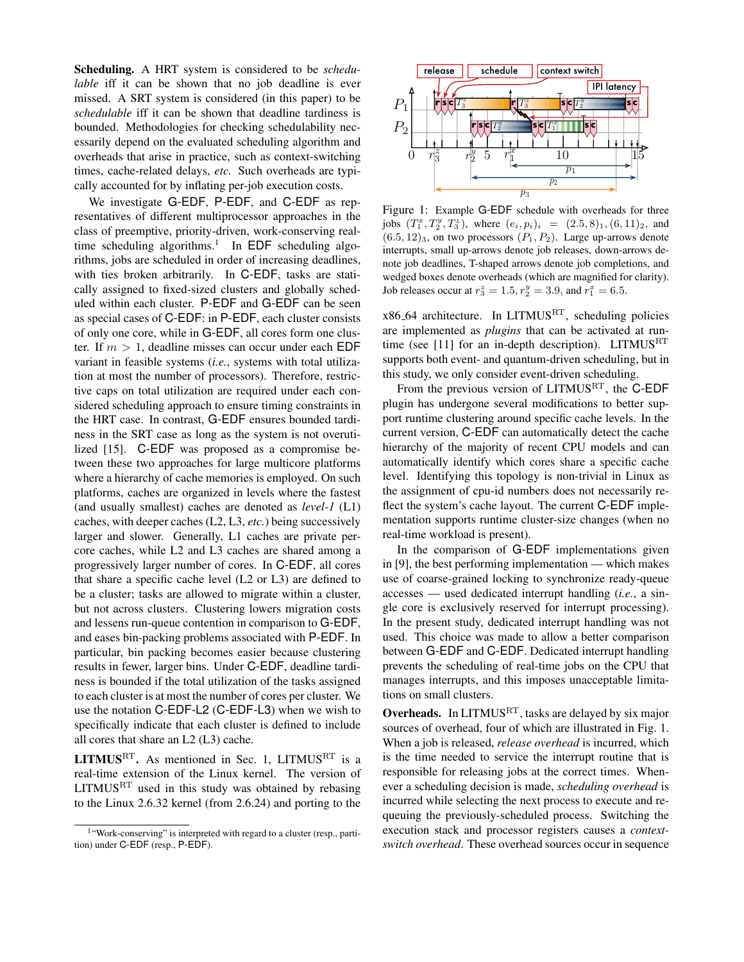Scheduling. A HRT system is considered to be *schedulable* iff it can be shown that no job deadline is ever missed. A SRT system is considered (in this paper) to be *schedulable* iff it can be shown that deadline tardiness is bounded. Methodologies for checking schedulability necessarily depend on the evaluated scheduling algorithm and overheads that arise in practice, such as context-switching times, cache-related delays, *etc.* Such overheads are typically accounted for by inflating per-job execution costs.

We investigate G-EDF, P-EDF, and C-EDF as representatives of different multiprocessor approaches in the class of preemptive, priority-driven, work-conserving realtime scheduling algorithms.<sup>1</sup> In EDF scheduling algorithms, jobs are scheduled in order of increasing deadlines, with ties broken arbitrarily. In C-EDF, tasks are statically assigned to fixed-sized clusters and globally scheduled within each cluster. P-EDF and G-EDF can be seen as special cases of C-EDF: in P-EDF, each cluster consists of only one core, while in G-EDF, all cores form one cluster. If  $m > 1$ , deadline misses can occur under each EDF variant in feasible systems (*i.e.*, systems with total utilization at most the number of processors). Therefore, restrictive caps on total utilization are required under each considered scheduling approach to ensure timing constraints in the HRT case. In contrast, G-EDF ensures bounded tardiness in the SRT case as long as the system is not overutilized [15]. C-EDF was proposed as a compromise between these two approaches for large multicore platforms where a hierarchy of cache memories is employed. On such platforms, caches are organized in levels where the fastest (and usually smallest) caches are denoted as *level-1* (L1) caches, with deeper caches (L2, L3, *etc.*) being successively larger and slower. Generally, L1 caches are private percore caches, while L2 and L3 caches are shared among a progressively larger number of cores. In C-EDF, all cores that share a specific cache level (L2 or L3) are defined to be a cluster; tasks are allowed to migrate within a cluster, but not across clusters. Clustering lowers migration costs and lessens run-queue contention in comparison to G-EDF, and eases bin-packing problems associated with P-EDF. In particular, bin packing becomes easier because clustering results in fewer, larger bins. Under C-EDF, deadline tardiness is bounded if the total utilization of the tasks assigned to each cluster is at most the number of cores per cluster. We use the notation C-EDF-L2 (C-EDF-L3) when we wish to specifically indicate that each cluster is defined to include all cores that share an L2 (L3) cache.

LITMUS<sup>RT</sup>. As mentioned in Sec. 1, LITMUS<sup>RT</sup> is a real-time extension of the Linux kernel. The version of LITMUSRT used in this study was obtained by rebasing to the Linux 2.6.32 kernel (from 2.6.24) and porting to the



Figure 1: Example G-EDF schedule with overheads for three jobs  $(T_1^x, T_2^y, T_3^z)$ , where  $(e_i, p_i)_i = (2.5, 8)_1, (6, 11)_2$ , and  $(6.5, 12)_3$ , on two processors  $(P_1, P_2)$ . Large up-arrows denote interrupts, small up-arrows denote job releases, down-arrows denote job deadlines, T-shaped arrows denote job completions, and wedged boxes denote overheads (which are magnified for clarity). Job releases occur at  $r_3^z = 1.5, r_2^y = 3.9$ , and  $r_1^x = 6.5$ .

 $x86.64$  architecture. In LITMUS<sup>RT</sup>, scheduling policies are implemented as *plugins* that can be activated at runtime (see [11] for an in-depth description). LITMUS<sup>RT</sup> supports both event- and quantum-driven scheduling, but in this study, we only consider event-driven scheduling.

From the previous version of LITMUS<sup>RT</sup>, the C-EDF plugin has undergone several modifications to better support runtime clustering around specific cache levels. In the current version, C-EDF can automatically detect the cache hierarchy of the majority of recent CPU models and can automatically identify which cores share a specific cache level. Identifying this topology is non-trivial in Linux as the assignment of cpu-id numbers does not necessarily reflect the system's cache layout. The current C-EDF implementation supports runtime cluster-size changes (when no real-time workload is present).

In the comparison of G-EDF implementations given in [9], the best performing implementation — which makes use of coarse-grained locking to synchronize ready-queue accesses — used dedicated interrupt handling (*i.e.*, a single core is exclusively reserved for interrupt processing). In the present study, dedicated interrupt handling was not used. This choice was made to allow a better comparison between G-EDF and C-EDF. Dedicated interrupt handling prevents the scheduling of real-time jobs on the CPU that manages interrupts, and this imposes unacceptable limitations on small clusters.

Overheads. In LITMUS<sup>RT</sup>, tasks are delayed by six major sources of overhead, four of which are illustrated in Fig. 1. When a job is released, *release overhead* is incurred, which is the time needed to service the interrupt routine that is responsible for releasing jobs at the correct times. Whenever a scheduling decision is made, *scheduling overhead* is incurred while selecting the next process to execute and requeuing the previously-scheduled process. Switching the execution stack and processor registers causes a *contextswitch overhead*. These overhead sources occur in sequence

<sup>1&</sup>quot;Work-conserving" is interpreted with regard to a cluster (resp., partition) under C-EDF (resp., P-EDF).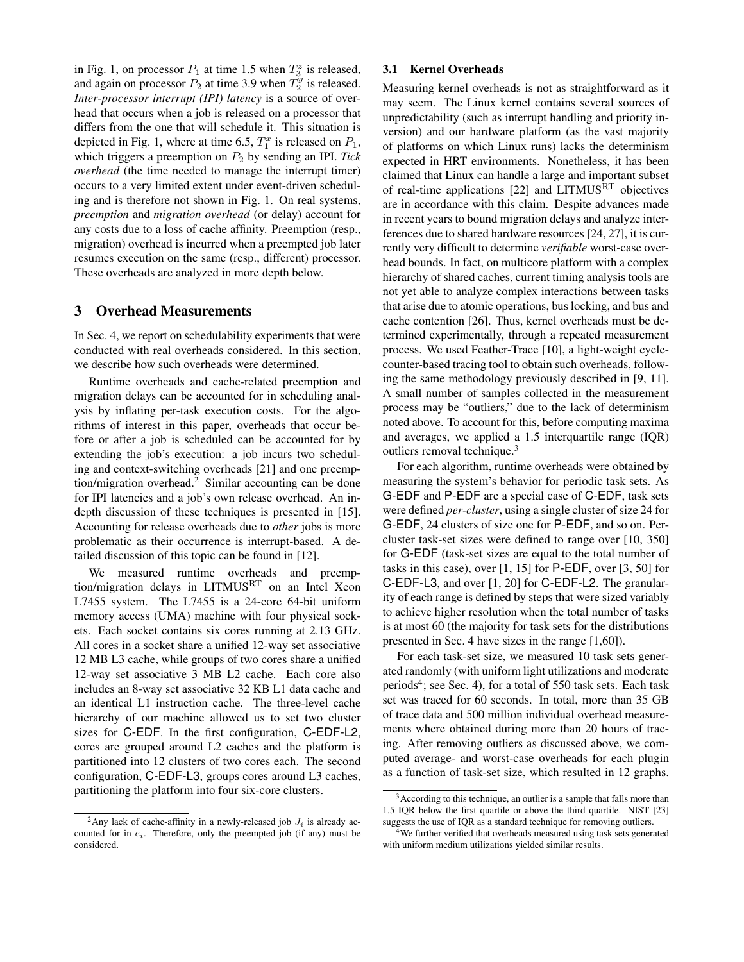in Fig. 1, on processor  $P_1$  at time 1.5 when  $T_3^z$  is released, and again on processor  $P_2$  at time 3.9 when  $T_2^y$  is released. *Inter-processor interrupt (IPI) latency* is a source of overhead that occurs when a job is released on a processor that differs from the one that will schedule it. This situation is depicted in Fig. 1, where at time 6.5,  $T_1^x$  is released on  $P_1$ , which triggers a preemption on P<sup>2</sup> by sending an IPI. *Tick overhead* (the time needed to manage the interrupt timer) occurs to a very limited extent under event-driven scheduling and is therefore not shown in Fig. 1. On real systems, *preemption* and *migration overhead* (or delay) account for any costs due to a loss of cache affinity. Preemption (resp., migration) overhead is incurred when a preempted job later resumes execution on the same (resp., different) processor. These overheads are analyzed in more depth below.

## 3 Overhead Measurements

In Sec. 4, we report on schedulability experiments that were conducted with real overheads considered. In this section, we describe how such overheads were determined.

Runtime overheads and cache-related preemption and migration delays can be accounted for in scheduling analysis by inflating per-task execution costs. For the algorithms of interest in this paper, overheads that occur before or after a job is scheduled can be accounted for by extending the job's execution: a job incurs two scheduling and context-switching overheads [21] and one preemption/migration overhead.<sup>2</sup> Similar accounting can be done for IPI latencies and a job's own release overhead. An indepth discussion of these techniques is presented in [15]. Accounting for release overheads due to *other* jobs is more problematic as their occurrence is interrupt-based. A detailed discussion of this topic can be found in [12].

We measured runtime overheads and preemption/migration delays in LITMUS<sup>RT</sup> on an Intel Xeon L7455 system. The L7455 is a 24-core 64-bit uniform memory access (UMA) machine with four physical sockets. Each socket contains six cores running at 2.13 GHz. All cores in a socket share a unified 12-way set associative 12 MB L3 cache, while groups of two cores share a unified 12-way set associative 3 MB L2 cache. Each core also includes an 8-way set associative 32 KB L1 data cache and an identical L1 instruction cache. The three-level cache hierarchy of our machine allowed us to set two cluster sizes for C-EDF. In the first configuration, C-EDF-L2, cores are grouped around L2 caches and the platform is partitioned into 12 clusters of two cores each. The second configuration, C-EDF-L3, groups cores around L3 caches, partitioning the platform into four six-core clusters.

#### 3.1 Kernel Overheads

Measuring kernel overheads is not as straightforward as it may seem. The Linux kernel contains several sources of unpredictability (such as interrupt handling and priority inversion) and our hardware platform (as the vast majority of platforms on which Linux runs) lacks the determinism expected in HRT environments. Nonetheless, it has been claimed that Linux can handle a large and important subset of real-time applications  $[22]$  and LITMUS<sup>RT</sup> objectives are in accordance with this claim. Despite advances made in recent years to bound migration delays and analyze interferences due to shared hardware resources [24, 27], it is currently very difficult to determine *verifiable* worst-case overhead bounds. In fact, on multicore platform with a complex hierarchy of shared caches, current timing analysis tools are not yet able to analyze complex interactions between tasks that arise due to atomic operations, bus locking, and bus and cache contention [26]. Thus, kernel overheads must be determined experimentally, through a repeated measurement process. We used Feather-Trace [10], a light-weight cyclecounter-based tracing tool to obtain such overheads, following the same methodology previously described in [9, 11]. A small number of samples collected in the measurement process may be "outliers," due to the lack of determinism noted above. To account for this, before computing maxima and averages, we applied a 1.5 interquartile range (IQR) outliers removal technique. $3$ 

For each algorithm, runtime overheads were obtained by measuring the system's behavior for periodic task sets. As G-EDF and P-EDF are a special case of C-EDF, task sets were defined *per-cluster*, using a single cluster of size 24 for G-EDF, 24 clusters of size one for P-EDF, and so on. Percluster task-set sizes were defined to range over [10, 350] for G-EDF (task-set sizes are equal to the total number of tasks in this case), over [1, 15] for P-EDF, over [3, 50] for C-EDF-L3, and over [1, 20] for C-EDF-L2. The granularity of each range is defined by steps that were sized variably to achieve higher resolution when the total number of tasks is at most 60 (the majority for task sets for the distributions presented in Sec. 4 have sizes in the range [1,60]).

For each task-set size, we measured 10 task sets generated randomly (with uniform light utilizations and moderate periods<sup>4</sup>; see Sec. 4), for a total of 550 task sets. Each task set was traced for 60 seconds. In total, more than 35 GB of trace data and 500 million individual overhead measurements where obtained during more than 20 hours of tracing. After removing outliers as discussed above, we computed average- and worst-case overheads for each plugin as a function of task-set size, which resulted in 12 graphs.

<sup>&</sup>lt;sup>2</sup>Any lack of cache-affinity in a newly-released job  $J_i$  is already accounted for in  $e_i$ . Therefore, only the preempted job (if any) must be considered.

<sup>&</sup>lt;sup>3</sup>According to this technique, an outlier is a sample that falls more than 1.5 IQR below the first quartile or above the third quartile. NIST [23] suggests the use of IQR as a standard technique for removing outliers.

<sup>&</sup>lt;sup>4</sup>We further verified that overheads measured using task sets generated with uniform medium utilizations yielded similar results.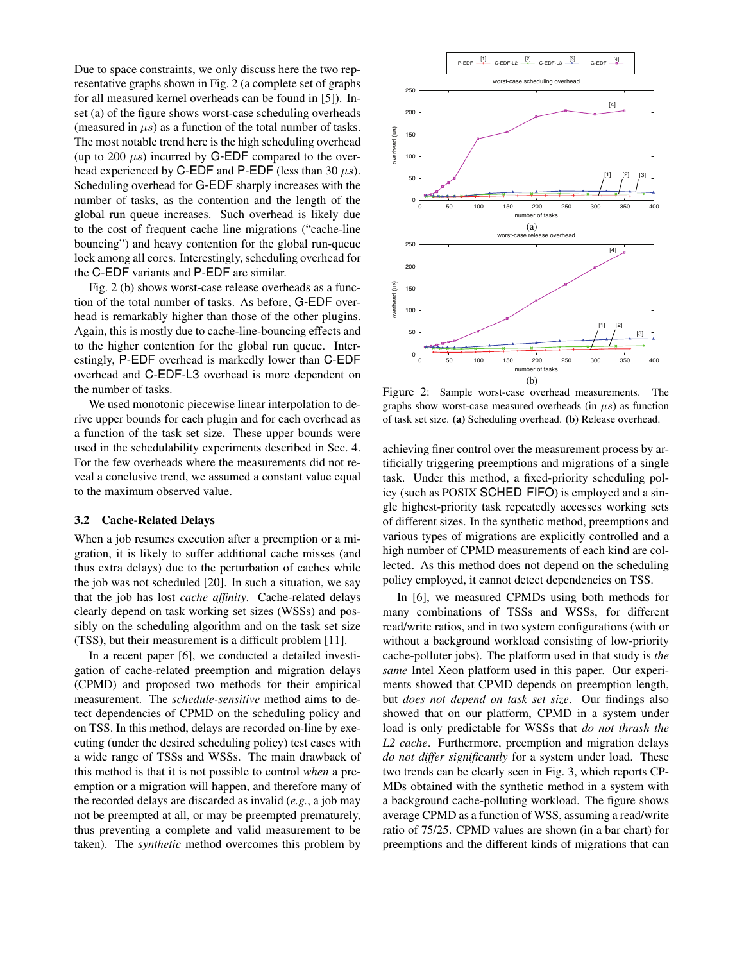Due to space constraints, we only discuss here the two representative graphs shown in Fig. 2 (a complete set of graphs for all measured kernel overheads can be found in [5]). Inset (a) of the figure shows worst-case scheduling overheads (measured in  $\mu s$ ) as a function of the total number of tasks. The most notable trend here is the high scheduling overhead (up to 200  $\mu s$ ) incurred by G-EDF compared to the overhead experienced by C-EDF and P-EDF (less than 30  $\mu s$ ). Scheduling overhead for G-EDF sharply increases with the number of tasks, as the contention and the length of the global run queue increases. Such overhead is likely due to the cost of frequent cache line migrations ("cache-line bouncing") and heavy contention for the global run-queue lock among all cores. Interestingly, scheduling overhead for the C-EDF variants and P-EDF are similar.

Fig. 2 (b) shows worst-case release overheads as a function of the total number of tasks. As before, G-EDF overhead is remarkably higher than those of the other plugins. Again, this is mostly due to cache-line-bouncing effects and to the higher contention for the global run queue. Interestingly, P-EDF overhead is markedly lower than C-EDF overhead and C-EDF-L3 overhead is more dependent on the number of tasks.

We used monotonic piecewise linear interpolation to derive upper bounds for each plugin and for each overhead as a function of the task set size. These upper bounds were used in the schedulability experiments described in Sec. 4. For the few overheads where the measurements did not reveal a conclusive trend, we assumed a constant value equal to the maximum observed value.

#### 3.2 Cache-Related Delays

When a job resumes execution after a preemption or a migration, it is likely to suffer additional cache misses (and thus extra delays) due to the perturbation of caches while the job was not scheduled [20]. In such a situation, we say that the job has lost *cache affinity*. Cache-related delays clearly depend on task working set sizes (WSSs) and possibly on the scheduling algorithm and on the task set size (TSS), but their measurement is a difficult problem [11].

In a recent paper [6], we conducted a detailed investigation of cache-related preemption and migration delays (CPMD) and proposed two methods for their empirical measurement. The *schedule-sensitive* method aims to detect dependencies of CPMD on the scheduling policy and on TSS. In this method, delays are recorded on-line by executing (under the desired scheduling policy) test cases with a wide range of TSSs and WSSs. The main drawback of this method is that it is not possible to control *when* a preemption or a migration will happen, and therefore many of the recorded delays are discarded as invalid (*e.g.*, a job may not be preempted at all, or may be preempted prematurely, thus preventing a complete and valid measurement to be taken). The *synthetic* method overcomes this problem by



Figure 2: Sample worst-case overhead measurements. The graphs show worst-case measured overheads (in  $\mu s$ ) as function of task set size. (a) Scheduling overhead. (b) Release overhead.

achieving finer control over the measurement process by artificially triggering preemptions and migrations of a single task. Under this method, a fixed-priority scheduling policy (such as POSIX SCHED\_FIFO) is employed and a single highest-priority task repeatedly accesses working sets of different sizes. In the synthetic method, preemptions and various types of migrations are explicitly controlled and a high number of CPMD measurements of each kind are collected. As this method does not depend on the scheduling policy employed, it cannot detect dependencies on TSS.

In [6], we measured CPMDs using both methods for many combinations of TSSs and WSSs, for different read/write ratios, and in two system configurations (with or without a background workload consisting of low-priority cache-polluter jobs). The platform used in that study is *the same* Intel Xeon platform used in this paper. Our experiments showed that CPMD depends on preemption length, but *does not depend on task set size*. Our findings also showed that on our platform, CPMD in a system under load is only predictable for WSSs that *do not thrash the L2 cache*. Furthermore, preemption and migration delays *do not differ significantly* for a system under load. These two trends can be clearly seen in Fig. 3, which reports CP-MDs obtained with the synthetic method in a system with a background cache-polluting workload. The figure shows average CPMD as a function of WSS, assuming a read/write ratio of 75/25. CPMD values are shown (in a bar chart) for preemptions and the different kinds of migrations that can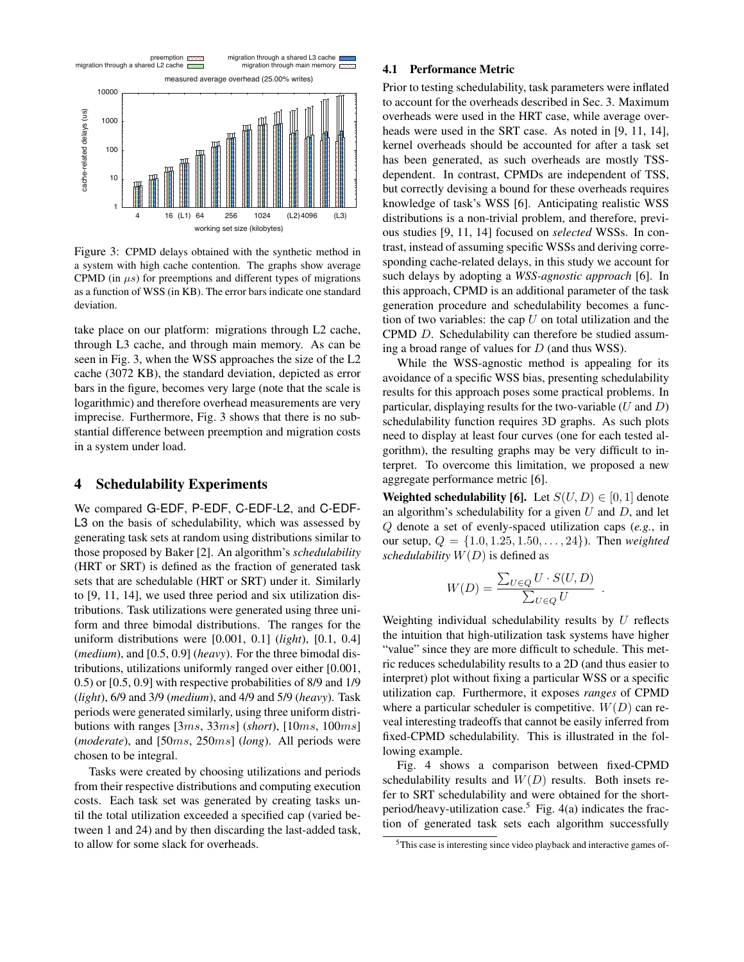

Figure 3: CPMD delays obtained with the synthetic method in a system with high cache contention. The graphs show average CPMD (in  $\mu$ s) for preemptions and different types of migrations as a function of WSS (in KB). The error bars indicate one standard deviation.

take place on our platform: migrations through L2 cache, through L3 cache, and through main memory. As can be seen in Fig. 3, when the WSS approaches the size of the L2 cache (3072 KB), the standard deviation, depicted as error bars in the figure, becomes very large (note that the scale is logarithmic) and therefore overhead measurements are very imprecise. Furthermore, Fig. 3 shows that there is no substantial difference between preemption and migration costs in a system under load.

# 4 Schedulability Experiments

We compared G-EDF, P-EDF, C-EDF-L2, and C-EDF-L3 on the basis of schedulability, which was assessed by generating task sets at random using distributions similar to those proposed by Baker [2]. An algorithm's *schedulability* (HRT or SRT) is defined as the fraction of generated task sets that are schedulable (HRT or SRT) under it. Similarly to [9, 11, 14], we used three period and six utilization distributions. Task utilizations were generated using three uniform and three bimodal distributions. The ranges for the uniform distributions were [0.001, 0.1] (*light*), [0.1, 0.4] (*medium*), and [0.5, 0.9] (*heavy*). For the three bimodal distributions, utilizations uniformly ranged over either [0.001, 0.5) or [0.5, 0.9] with respective probabilities of 8/9 and 1/9 (*light*), 6/9 and 3/9 (*medium*), and 4/9 and 5/9 (*heavy*). Task periods were generated similarly, using three uniform distributions with ranges [3ms, 33ms] (*short*), [10ms, 100ms] (*moderate*), and [50ms, 250ms] (*long*). All periods were chosen to be integral.

Tasks were created by choosing utilizations and periods from their respective distributions and computing execution costs. Each task set was generated by creating tasks until the total utilization exceeded a specified cap (varied between 1 and 24) and by then discarding the last-added task, to allow for some slack for overheads.

#### 4.1 Performance Metric

Prior to testing schedulability, task parameters were inflated to account for the overheads described in Sec. 3. Maximum overheads were used in the HRT case, while average overheads were used in the SRT case. As noted in [9, 11, 14], kernel overheads should be accounted for after a task set has been generated, as such overheads are mostly TSSdependent. In contrast, CPMDs are independent of TSS, but correctly devising a bound for these overheads requires knowledge of task's WSS [6]. Anticipating realistic WSS distributions is a non-trivial problem, and therefore, previous studies [9, 11, 14] focused on *selected* WSSs. In contrast, instead of assuming specific WSSs and deriving corresponding cache-related delays, in this study we account for such delays by adopting a *WSS-agnostic approach* [6]. In this approach, CPMD is an additional parameter of the task generation procedure and schedulability becomes a function of two variables: the cap  $U$  on total utilization and the CPMD D. Schedulability can therefore be studied assuming a broad range of values for  $D$  (and thus WSS).

While the WSS-agnostic method is appealing for its avoidance of a specific WSS bias, presenting schedulability results for this approach poses some practical problems. In particular, displaying results for the two-variable  $(U \text{ and } D)$ schedulability function requires 3D graphs. As such plots need to display at least four curves (one for each tested algorithm), the resulting graphs may be very difficult to interpret. To overcome this limitation, we proposed a new aggregate performance metric [6].

Weighted schedulability [6]. Let  $S(U, D) \in [0, 1]$  denote an algorithm's schedulability for a given  $U$  and  $D$ , and let Q denote a set of evenly-spaced utilization caps (*e.g.*, in our setup,  $Q = \{1.0, 1.25, 1.50, \ldots, 24\}$ . Then *weighted schedulability*  $W(D)$  is defined as

$$
W(D) = \frac{\sum_{U \in Q} U \cdot S(U, D)}{\sum_{U \in Q} U}.
$$

Weighting individual schedulability results by  $U$  reflects the intuition that high-utilization task systems have higher "value" since they are more difficult to schedule. This metric reduces schedulability results to a 2D (and thus easier to interpret) plot without fixing a particular WSS or a specific utilization cap. Furthermore, it exposes *ranges* of CPMD where a particular scheduler is competitive.  $W(D)$  can reveal interesting tradeoffs that cannot be easily inferred from fixed-CPMD schedulability. This is illustrated in the following example.

Fig. 4 shows a comparison between fixed-CPMD schedulability results and  $W(D)$  results. Both insets refer to SRT schedulability and were obtained for the shortperiod/heavy-utilization case.<sup>5</sup> Fig.  $4(a)$  indicates the fraction of generated task sets each algorithm successfully

<sup>5</sup>This case is interesting since video playback and interactive games of-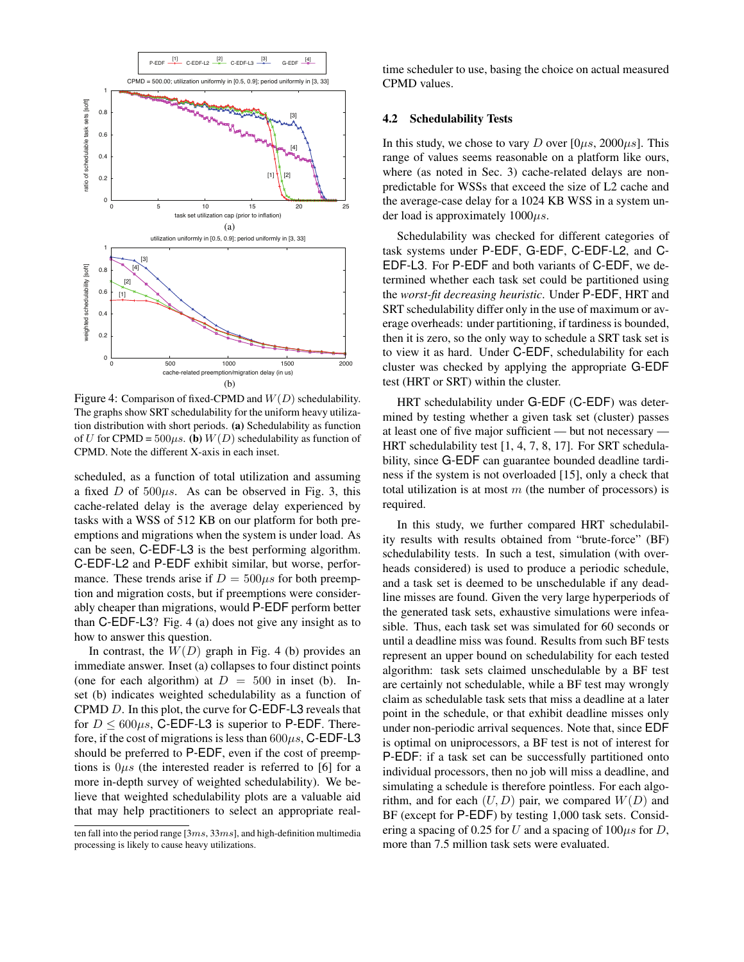

Figure 4: Comparison of fixed-CPMD and  $W(D)$  schedulability. The graphs show SRT schedulability for the uniform heavy utilization distribution with short periods. (a) Schedulability as function of U for CPMD =  $500\mu s$ . (b)  $W(D)$  schedulability as function of CPMD. Note the different X-axis in each inset.

scheduled, as a function of total utilization and assuming a fixed D of  $500\mu s$ . As can be observed in Fig. 3, this cache-related delay is the average delay experienced by tasks with a WSS of 512 KB on our platform for both preemptions and migrations when the system is under load. As can be seen, C-EDF-L3 is the best performing algorithm. C-EDF-L2 and P-EDF exhibit similar, but worse, performance. These trends arise if  $D = 500 \mu s$  for both preemption and migration costs, but if preemptions were considerably cheaper than migrations, would P-EDF perform better than C-EDF-L3? Fig. 4 (a) does not give any insight as to how to answer this question.

In contrast, the  $W(D)$  graph in Fig. 4 (b) provides an immediate answer. Inset (a) collapses to four distinct points (one for each algorithm) at  $D = 500$  in inset (b). Inset (b) indicates weighted schedulability as a function of CPMD D. In this plot, the curve for C-EDF-L3 reveals that for  $D \le 600 \mu s$ , C-EDF-L3 is superior to P-EDF. Therefore, if the cost of migrations is less than  $600\mu s$ , C-EDF-L3 should be preferred to P-EDF, even if the cost of preemptions is  $0\mu s$  (the interested reader is referred to [6] for a more in-depth survey of weighted schedulability). We believe that weighted schedulability plots are a valuable aid that may help practitioners to select an appropriate realtime scheduler to use, basing the choice on actual measured CPMD values.

#### 4.2 Schedulability Tests

In this study, we chose to vary D over  $[0\mu s, 2000\mu s]$ . This range of values seems reasonable on a platform like ours, where (as noted in Sec. 3) cache-related delays are nonpredictable for WSSs that exceed the size of L2 cache and the average-case delay for a 1024 KB WSS in a system under load is approximately  $1000\mu s$ .

Schedulability was checked for different categories of task systems under P-EDF, G-EDF, C-EDF-L2, and C-EDF-L3. For P-EDF and both variants of C-EDF, we determined whether each task set could be partitioned using the *worst-fit decreasing heuristic*. Under P-EDF, HRT and SRT schedulability differ only in the use of maximum or average overheads: under partitioning, if tardiness is bounded, then it is zero, so the only way to schedule a SRT task set is to view it as hard. Under C-EDF, schedulability for each cluster was checked by applying the appropriate G-EDF test (HRT or SRT) within the cluster.

HRT schedulability under G-EDF (C-EDF) was determined by testing whether a given task set (cluster) passes at least one of five major sufficient — but not necessary — HRT schedulability test [1, 4, 7, 8, 17]. For SRT schedulability, since G-EDF can guarantee bounded deadline tardiness if the system is not overloaded [15], only a check that total utilization is at most  $m$  (the number of processors) is required.

In this study, we further compared HRT schedulability results with results obtained from "brute-force" (BF) schedulability tests. In such a test, simulation (with overheads considered) is used to produce a periodic schedule, and a task set is deemed to be unschedulable if any deadline misses are found. Given the very large hyperperiods of the generated task sets, exhaustive simulations were infeasible. Thus, each task set was simulated for 60 seconds or until a deadline miss was found. Results from such BF tests represent an upper bound on schedulability for each tested algorithm: task sets claimed unschedulable by a BF test are certainly not schedulable, while a BF test may wrongly claim as schedulable task sets that miss a deadline at a later point in the schedule, or that exhibit deadline misses only under non-periodic arrival sequences. Note that, since EDF is optimal on uniprocessors, a BF test is not of interest for P-EDF: if a task set can be successfully partitioned onto individual processors, then no job will miss a deadline, and simulating a schedule is therefore pointless. For each algorithm, and for each  $(U, D)$  pair, we compared  $W(D)$  and BF (except for P-EDF) by testing 1,000 task sets. Considering a spacing of 0.25 for U and a spacing of  $100\mu s$  for D, more than 7.5 million task sets were evaluated.

ten fall into the period range  $[3ms, 33ms]$ , and high-definition multimedia processing is likely to cause heavy utilizations.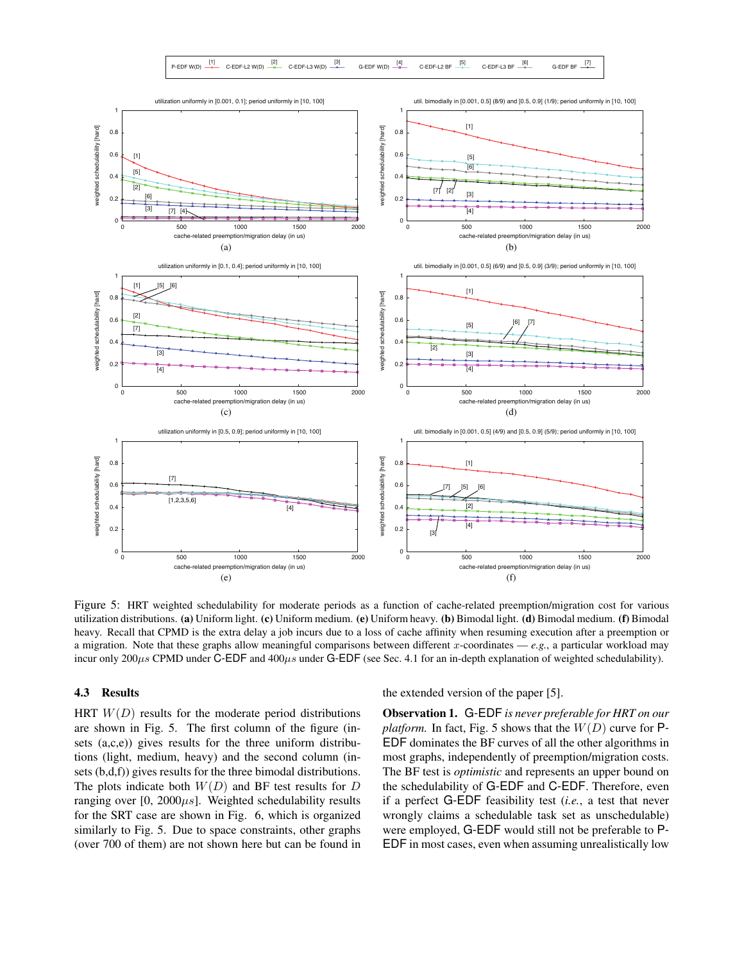

Figure 5: HRT weighted schedulability for moderate periods as a function of cache-related preemption/migration cost for various utilization distributions. (a) Uniform light. (c) Uniform medium. (e) Uniform heavy. (b) Bimodal light. (d) Bimodal medium. (f) Bimodal heavy. Recall that CPMD is the extra delay a job incurs due to a loss of cache affinity when resuming execution after a preemption or a migration. Note that these graphs allow meaningful comparisons between different  $x$ -coordinates —  $e.g.,$  a particular workload may incur only 200 $\mu$ s CPMD under C-EDF and 400 $\mu$ s under G-EDF (see Sec. 4.1 for an in-depth explanation of weighted schedulability).

#### 4.3 Results

HRT  $W(D)$  results for the moderate period distributions are shown in Fig. 5. The first column of the figure (insets (a,c,e)) gives results for the three uniform distributions (light, medium, heavy) and the second column (insets (b,d,f)) gives results for the three bimodal distributions. The plots indicate both  $W(D)$  and BF test results for D ranging over  $[0, 2000\mu s]$ . Weighted schedulability results for the SRT case are shown in Fig. 6, which is organized similarly to Fig. 5. Due to space constraints, other graphs (over 700 of them) are not shown here but can be found in the extended version of the paper [5].

Observation 1. G-EDF *is never preferable for HRT on our platform.* In fact, Fig. 5 shows that the  $W(D)$  curve for  $P$ -EDF dominates the BF curves of all the other algorithms in most graphs, independently of preemption/migration costs. The BF test is *optimistic* and represents an upper bound on the schedulability of G-EDF and C-EDF. Therefore, even if a perfect G-EDF feasibility test (*i.e.*, a test that never wrongly claims a schedulable task set as unschedulable) were employed, G-EDF would still not be preferable to P-EDF in most cases, even when assuming unrealistically low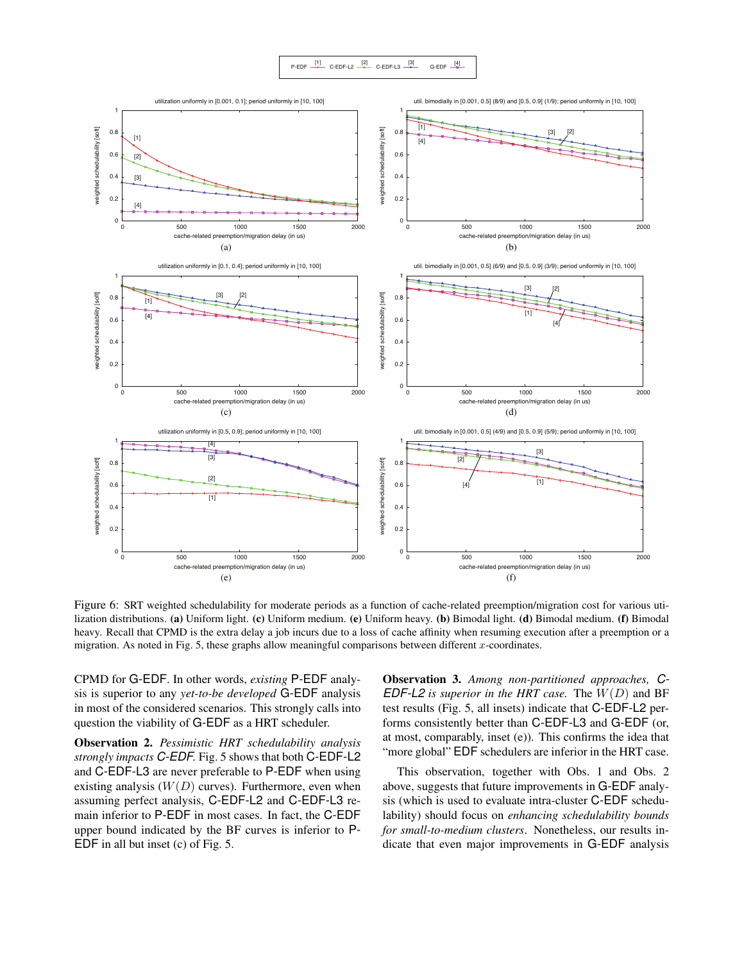



Figure 6: SRT weighted schedulability for moderate periods as a function of cache-related preemption/migration cost for various utilization distributions. (a) Uniform light. (c) Uniform medium. (e) Uniform heavy. (b) Bimodal light. (d) Bimodal medium. (f) Bimodal heavy. Recall that CPMD is the extra delay a job incurs due to a loss of cache affinity when resuming execution after a preemption or a migration. As noted in Fig. 5, these graphs allow meaningful comparisons between different  $x$ -coordinates.

CPMD for G-EDF. In other words, *existing* P-EDF analysis is superior to any *yet-to-be developed* G-EDF analysis in most of the considered scenarios. This strongly calls into question the viability of G-EDF as a HRT scheduler.

Observation 2. *Pessimistic HRT schedulability analysis strongly impacts C-EDF.* Fig. 5 shows that both C-EDF-L2 and C-EDF-L3 are never preferable to P-EDF when using existing analysis  $(W(D))$  curves). Furthermore, even when assuming perfect analysis, C-EDF-L2 and C-EDF-L3 remain inferior to P-EDF in most cases. In fact, the C-EDF upper bound indicated by the BF curves is inferior to P-EDF in all but inset (c) of Fig. 5.

Observation 3. *Among non-partitioned approaches, C-EDF-L2 is superior in the HRT case.* The W(D) and BF test results (Fig. 5, all insets) indicate that C-EDF-L2 performs consistently better than C-EDF-L3 and G-EDF (or, at most, comparably, inset (e)). This confirms the idea that "more global" EDF schedulers are inferior in the HRT case.

This observation, together with Obs. 1 and Obs. 2 above, suggests that future improvements in G-EDF analysis (which is used to evaluate intra-cluster C-EDF schedulability) should focus on *enhancing schedulability bounds for small-to-medium clusters*. Nonetheless, our results indicate that even major improvements in G-EDF analysis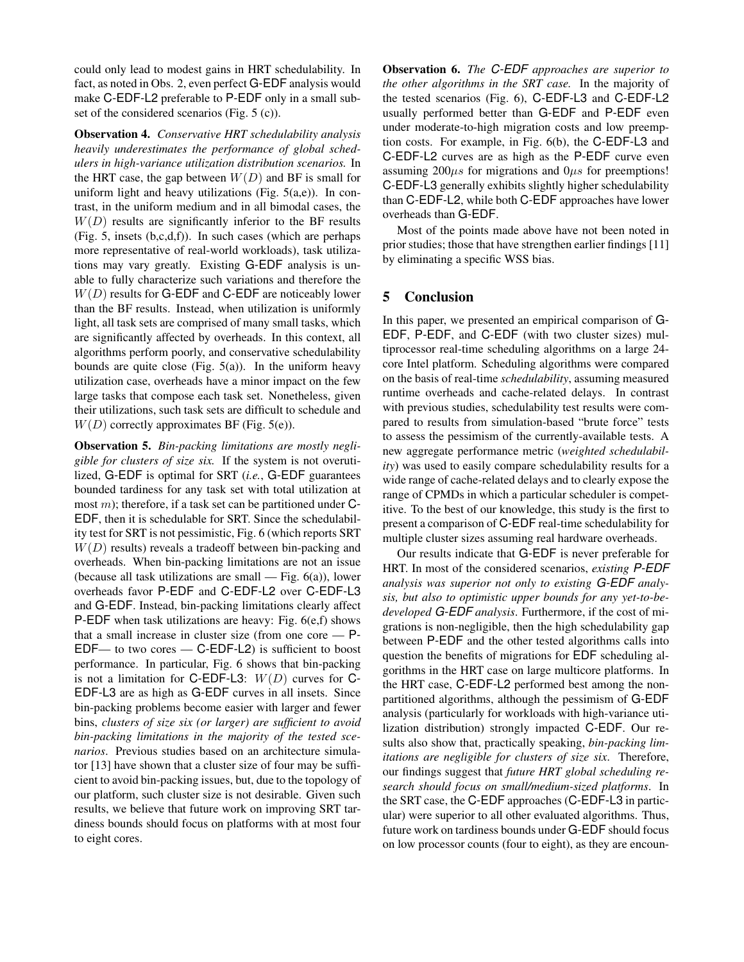could only lead to modest gains in HRT schedulability. In fact, as noted in Obs. 2, even perfect G-EDF analysis would make C-EDF-L2 preferable to P-EDF only in a small subset of the considered scenarios (Fig. 5 (c)).

Observation 4. *Conservative HRT schedulability analysis heavily underestimates the performance of global schedulers in high-variance utilization distribution scenarios.* In the HRT case, the gap between  $W(D)$  and BF is small for uniform light and heavy utilizations (Fig.  $5(a,e)$ ). In contrast, in the uniform medium and in all bimodal cases, the  $W(D)$  results are significantly inferior to the BF results (Fig. 5, insets  $(b, c, d, f)$ ). In such cases (which are perhaps more representative of real-world workloads), task utilizations may vary greatly. Existing G-EDF analysis is unable to fully characterize such variations and therefore the  $W(D)$  results for G-EDF and C-EDF are noticeably lower than the BF results. Instead, when utilization is uniformly light, all task sets are comprised of many small tasks, which are significantly affected by overheads. In this context, all algorithms perform poorly, and conservative schedulability bounds are quite close (Fig.  $5(a)$ ). In the uniform heavy utilization case, overheads have a minor impact on the few large tasks that compose each task set. Nonetheless, given their utilizations, such task sets are difficult to schedule and  $W(D)$  correctly approximates BF (Fig. 5(e)).

Observation 5. *Bin-packing limitations are mostly negligible for clusters of size six.* If the system is not overutilized, G-EDF is optimal for SRT (*i.e.*, G-EDF guarantees bounded tardiness for any task set with total utilization at most  $m$ ); therefore, if a task set can be partitioned under  $C$ -EDF, then it is schedulable for SRT. Since the schedulability test for SRT is not pessimistic, Fig. 6 (which reports SRT  $W(D)$  results) reveals a tradeoff between bin-packing and overheads. When bin-packing limitations are not an issue (because all task utilizations are small — Fig.  $6(a)$ ), lower overheads favor P-EDF and C-EDF-L2 over C-EDF-L3 and G-EDF. Instead, bin-packing limitations clearly affect P-EDF when task utilizations are heavy: Fig. 6(e,f) shows that a small increase in cluster size (from one core — P-EDF— to two cores — C-EDF-L2) is sufficient to boost performance. In particular, Fig. 6 shows that bin-packing is not a limitation for C-EDF-L3:  $W(D)$  curves for C-EDF-L3 are as high as G-EDF curves in all insets. Since bin-packing problems become easier with larger and fewer bins, *clusters of size six (or larger) are sufficient to avoid bin-packing limitations in the majority of the tested scenarios*. Previous studies based on an architecture simulator [13] have shown that a cluster size of four may be sufficient to avoid bin-packing issues, but, due to the topology of our platform, such cluster size is not desirable. Given such results, we believe that future work on improving SRT tardiness bounds should focus on platforms with at most four to eight cores.

Observation 6. *The C-EDF approaches are superior to the other algorithms in the SRT case.* In the majority of the tested scenarios (Fig. 6), C-EDF-L3 and C-EDF-L2 usually performed better than G-EDF and P-EDF even under moderate-to-high migration costs and low preemption costs. For example, in Fig. 6(b), the C-EDF-L3 and C-EDF-L2 curves are as high as the P-EDF curve even assuming  $200\mu s$  for migrations and  $0\mu s$  for preemptions! C-EDF-L3 generally exhibits slightly higher schedulability than C-EDF-L2, while both C-EDF approaches have lower overheads than G-EDF.

Most of the points made above have not been noted in prior studies; those that have strengthen earlier findings [11] by eliminating a specific WSS bias.

# 5 Conclusion

In this paper, we presented an empirical comparison of G-EDF, P-EDF, and C-EDF (with two cluster sizes) multiprocessor real-time scheduling algorithms on a large 24 core Intel platform. Scheduling algorithms were compared on the basis of real-time *schedulability*, assuming measured runtime overheads and cache-related delays. In contrast with previous studies, schedulability test results were compared to results from simulation-based "brute force" tests to assess the pessimism of the currently-available tests. A new aggregate performance metric (*weighted schedulability*) was used to easily compare schedulability results for a wide range of cache-related delays and to clearly expose the range of CPMDs in which a particular scheduler is competitive. To the best of our knowledge, this study is the first to present a comparison of C-EDF real-time schedulability for multiple cluster sizes assuming real hardware overheads.

Our results indicate that G-EDF is never preferable for HRT. In most of the considered scenarios, *existing P-EDF analysis was superior not only to existing G-EDF analysis, but also to optimistic upper bounds for any yet-to-bedeveloped G-EDF analysis*. Furthermore, if the cost of migrations is non-negligible, then the high schedulability gap between P-EDF and the other tested algorithms calls into question the benefits of migrations for EDF scheduling algorithms in the HRT case on large multicore platforms. In the HRT case, C-EDF-L2 performed best among the nonpartitioned algorithms, although the pessimism of G-EDF analysis (particularly for workloads with high-variance utilization distribution) strongly impacted C-EDF. Our results also show that, practically speaking, *bin-packing limitations are negligible for clusters of size six*. Therefore, our findings suggest that *future HRT global scheduling research should focus on small/medium-sized platforms*. In the SRT case, the C-EDF approaches (C-EDF-L3 in particular) were superior to all other evaluated algorithms. Thus, future work on tardiness bounds under G-EDF should focus on low processor counts (four to eight), as they are encoun